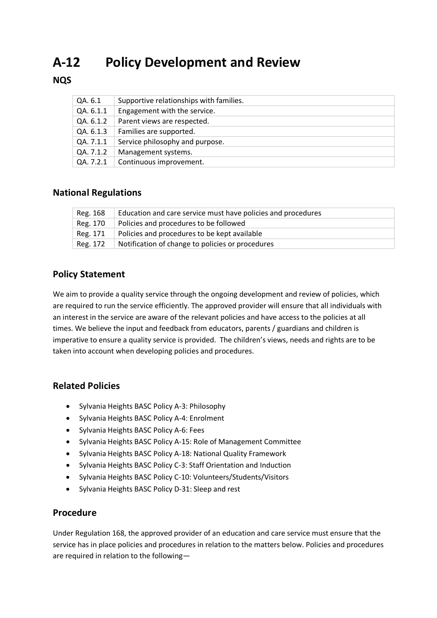# **A-12 Policy Development and Review**

### **NQS**

| QA. 6.1   | Supportive relationships with families. |
|-----------|-----------------------------------------|
| QA. 6.1.1 | Engagement with the service.            |
| QA. 6.1.2 | Parent views are respected.             |
| QA. 6.1.3 | Families are supported.                 |
| QA. 7.1.1 | Service philosophy and purpose.         |
| QA. 7.1.2 | Management systems.                     |
| QA. 7.2.1 | Continuous improvement.                 |

## **National Regulations**

| Reg. 168 | Education and care service must have policies and procedures |
|----------|--------------------------------------------------------------|
| Reg. 170 | Policies and procedures to be followed                       |
| Reg. 171 | Policies and procedures to be kept available                 |
| Reg. 172 | Notification of change to policies or procedures             |

#### **Policy Statement**

We aim to provide a quality service through the ongoing development and review of policies, which are required to run the service efficiently. The approved provider will ensure that all individuals with an interest in the service are aware of the relevant policies and have access to the policies at all times. We believe the input and feedback from educators, parents / guardians and children is imperative to ensure a quality service is provided. The children's views, needs and rights are to be taken into account when developing policies and procedures.

#### **Related Policies**

- Sylvania Heights BASC Policy A-3: Philosophy
- Sylvania Heights BASC Policy A-4: Enrolment
- Sylvania Heights BASC Policy A-6: Fees
- Sylvania Heights BASC Policy A-15: Role of Management Committee
- Sylvania Heights BASC Policy A-18: National Quality Framework
- Sylvania Heights BASC Policy C-3: Staff Orientation and Induction
- Sylvania Heights BASC Policy C-10: Volunteers/Students/Visitors
- Sylvania Heights BASC Policy D-31: Sleep and rest

#### **Procedure**

Under Regulation 168, the approved provider of an education and care service must ensure that the service has in place policies and procedures in relation to the matters below. Policies and procedures are required in relation to the following—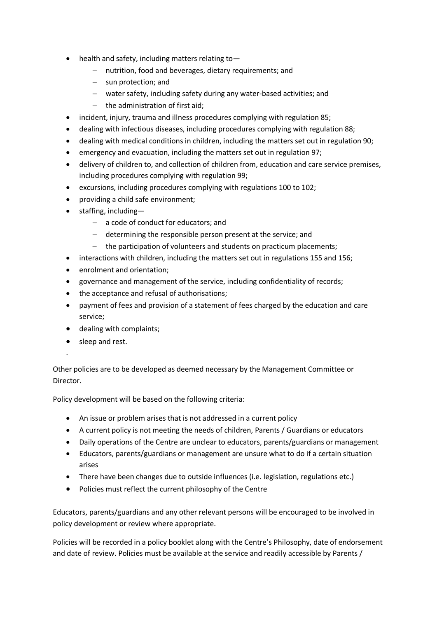- health and safety, including matters relating to-
	- − nutrition, food and beverages, dietary requirements; and
	- − sun protection; and
	- − water safety, including safety during any water-based activities; and
	- − the administration of first aid;
- incident, injury, trauma and illness procedures complying with regulation 85;
- dealing with infectious diseases, including procedures complying with regulation 88;
- dealing with medical conditions in children, including the matters set out in regulation 90;
- emergency and evacuation, including the matters set out in regulation 97;
- delivery of children to, and collection of children from, education and care service premises, including procedures complying with regulation 99;
- excursions, including procedures complying with regulations 100 to 102;
- providing a child safe environment;
- staffing, including—
	- − a code of conduct for educators; and
	- − determining the responsible person present at the service; and
	- − the participation of volunteers and students on practicum placements;
- interactions with children, including the matters set out in regulations 155 and 156;
- enrolment and orientation;
- governance and management of the service, including confidentiality of records;
- the acceptance and refusal of authorisations;
- payment of fees and provision of a statement of fees charged by the education and care service;
- dealing with complaints;
- sleep and rest.

.

Other policies are to be developed as deemed necessary by the Management Committee or Director.

Policy development will be based on the following criteria:

- An issue or problem arises that is not addressed in a current policy
- A current policy is not meeting the needs of children, Parents / Guardians or educators
- Daily operations of the Centre are unclear to educators, parents/guardians or management
- Educators, parents/guardians or management are unsure what to do if a certain situation arises
- There have been changes due to outside influences (i.e. legislation, regulations etc.)
- Policies must reflect the current philosophy of the Centre

Educators, parents/guardians and any other relevant persons will be encouraged to be involved in policy development or review where appropriate.

Policies will be recorded in a policy booklet along with the Centre's Philosophy, date of endorsement and date of review. Policies must be available at the service and readily accessible by Parents /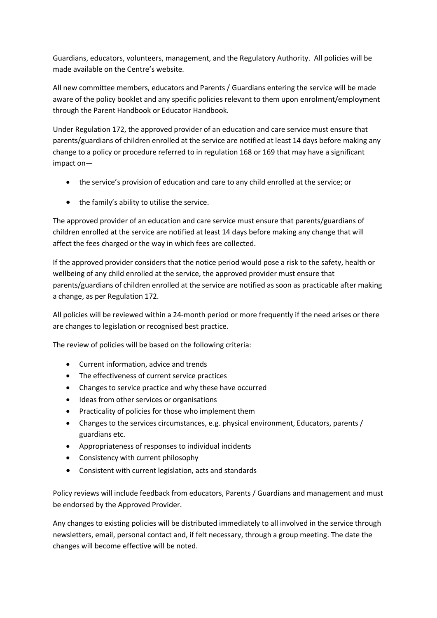Guardians, educators, volunteers, management, and the Regulatory Authority. All policies will be made available on the Centre's website.

All new committee members, educators and Parents / Guardians entering the service will be made aware of the policy booklet and any specific policies relevant to them upon enrolment/employment through the Parent Handbook or Educator Handbook.

Under Regulation 172, the approved provider of an education and care service must ensure that parents/guardians of children enrolled at the service are notified at least 14 days before making any change to a policy or procedure referred to in regulation 168 or 169 that may have a significant impact on—

- the service's provision of education and care to any child enrolled at the service; or
- the family's ability to utilise the service.

The approved provider of an education and care service must ensure that parents/guardians of children enrolled at the service are notified at least 14 days before making any change that will affect the fees charged or the way in which fees are collected.

If the approved provider considers that the notice period would pose a risk to the safety, health or wellbeing of any child enrolled at the service, the approved provider must ensure that parents/guardians of children enrolled at the service are notified as soon as practicable after making a change, as per Regulation 172.

All policies will be reviewed within a 24-month period or more frequently if the need arises or there are changes to legislation or recognised best practice.

The review of policies will be based on the following criteria:

- Current information, advice and trends
- The effectiveness of current service practices
- Changes to service practice and why these have occurred
- Ideas from other services or organisations
- Practicality of policies for those who implement them
- Changes to the services circumstances, e.g. physical environment, Educators, parents / guardians etc.
- Appropriateness of responses to individual incidents
- Consistency with current philosophy
- Consistent with current legislation, acts and standards

Policy reviews will include feedback from educators, Parents / Guardians and management and must be endorsed by the Approved Provider.

Any changes to existing policies will be distributed immediately to all involved in the service through newsletters, email, personal contact and, if felt necessary, through a group meeting. The date the changes will become effective will be noted.